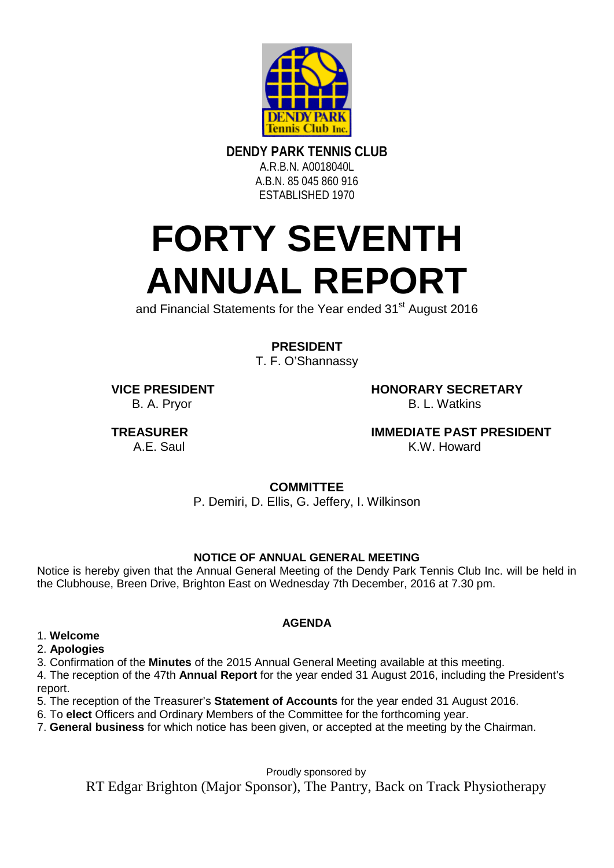

**DENDY PARK TENNIS CLUB**

A.R.B.N. A0018040L A.B.N. 85 045 860 916 ESTABLISHED 1970

# **FORTY SEVENTH ANNUAL REPORT**

and Financial Statements for the Year ended 31<sup>st</sup> August 2016

**PRESIDENT**

T. F. O'Shannassy

B. A. Prvor

**VICE PRESIDENT**<br>B. A. Prvor<br>B. A. Prvor

**TREASURER IMMEDIATE PAST PRESIDENT**<br>A F. Saul **A F. Saul K. W. Howard** K.W. Howard

**COMMITTEE**

P. Demiri, D. Ellis, G. Jeffery, I. Wilkinson

### **NOTICE OF ANNUAL GENERAL MEETING**

Notice is hereby given that the Annual General Meeting of the Dendy Park Tennis Club Inc. will be held in the Clubhouse, Breen Drive, Brighton East on Wednesday 7th December, 2016 at 7.30 pm.

## **AGENDA**

#### 1. **Welcome**

2. **Apologies** 

3. Confirmation of the **Minutes** of the 2015 Annual General Meeting available at this meeting.

4. The reception of the 47th **Annual Report** for the year ended 31 August 2016, including the President's report.

5. The reception of the Treasurer's **Statement of Accounts** for the year ended 31 August 2016.

6. To **elect** Officers and Ordinary Members of the Committee for the forthcoming year.

7. **General business** for which notice has been given, or accepted at the meeting by the Chairman.

Proudly sponsored by

RT Edgar Brighton (Major Sponsor), The Pantry, Back on Track Physiotherapy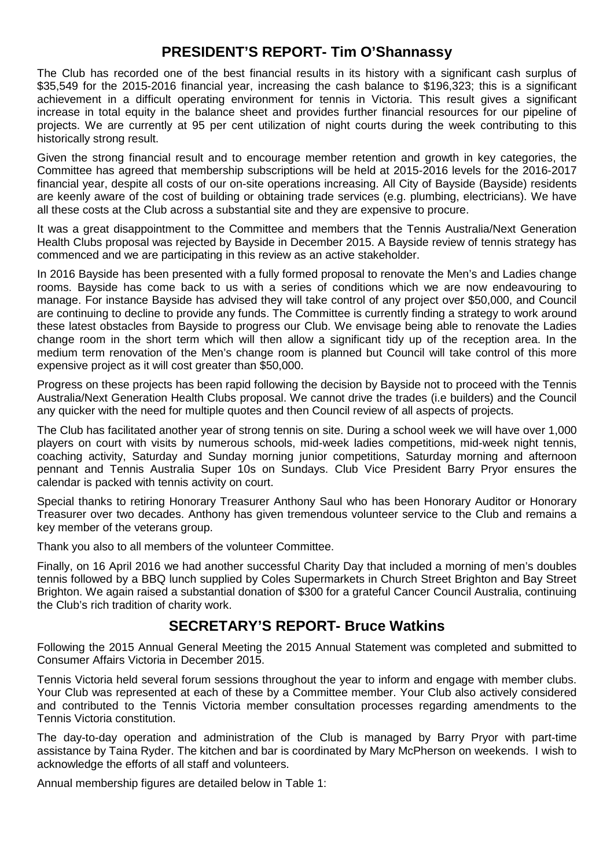### **PRESIDENT'S REPORT- Tim O'Shannassy**

The Club has recorded one of the best financial results in its history with a significant cash surplus of \$35,549 for the 2015-2016 financial year, increasing the cash balance to \$196,323; this is a significant achievement in a difficult operating environment for tennis in Victoria. This result gives a significant increase in total equity in the balance sheet and provides further financial resources for our pipeline of projects. We are currently at 95 per cent utilization of night courts during the week contributing to this historically strong result.

Given the strong financial result and to encourage member retention and growth in key categories, the Committee has agreed that membership subscriptions will be held at 2015-2016 levels for the 2016-2017 financial year, despite all costs of our on-site operations increasing. All City of Bayside (Bayside) residents are keenly aware of the cost of building or obtaining trade services (e.g. plumbing, electricians). We have all these costs at the Club across a substantial site and they are expensive to procure.

It was a great disappointment to the Committee and members that the Tennis Australia/Next Generation Health Clubs proposal was rejected by Bayside in December 2015. A Bayside review of tennis strategy has commenced and we are participating in this review as an active stakeholder.

In 2016 Bayside has been presented with a fully formed proposal to renovate the Men's and Ladies change rooms. Bayside has come back to us with a series of conditions which we are now endeavouring to manage. For instance Bayside has advised they will take control of any project over \$50,000, and Council are continuing to decline to provide any funds. The Committee is currently finding a strategy to work around these latest obstacles from Bayside to progress our Club. We envisage being able to renovate the Ladies change room in the short term which will then allow a significant tidy up of the reception area. In the medium term renovation of the Men's change room is planned but Council will take control of this more expensive project as it will cost greater than \$50,000.

Progress on these projects has been rapid following the decision by Bayside not to proceed with the Tennis Australia/Next Generation Health Clubs proposal. We cannot drive the trades (i.e builders) and the Council any quicker with the need for multiple quotes and then Council review of all aspects of projects.

The Club has facilitated another year of strong tennis on site. During a school week we will have over 1,000 players on court with visits by numerous schools, mid-week ladies competitions, mid-week night tennis, coaching activity, Saturday and Sunday morning junior competitions, Saturday morning and afternoon pennant and Tennis Australia Super 10s on Sundays. Club Vice President Barry Pryor ensures the calendar is packed with tennis activity on court.

Special thanks to retiring Honorary Treasurer Anthony Saul who has been Honorary Auditor or Honorary Treasurer over two decades. Anthony has given tremendous volunteer service to the Club and remains a key member of the veterans group.

Thank you also to all members of the volunteer Committee.

Finally, on 16 April 2016 we had another successful Charity Day that included a morning of men's doubles tennis followed by a BBQ lunch supplied by Coles Supermarkets in Church Street Brighton and Bay Street Brighton. We again raised a substantial donation of \$300 for a grateful Cancer Council Australia, continuing the Club's rich tradition of charity work.

## **SECRETARY'S REPORT- Bruce Watkins**

Following the 2015 Annual General Meeting the 2015 Annual Statement was completed and submitted to Consumer Affairs Victoria in December 2015.

Tennis Victoria held several forum sessions throughout the year to inform and engage with member clubs. Your Club was represented at each of these by a Committee member. Your Club also actively considered and contributed to the Tennis Victoria member consultation processes regarding amendments to the Tennis Victoria constitution.

The day-to-day operation and administration of the Club is managed by Barry Pryor with part-time assistance by Taina Ryder. The kitchen and bar is coordinated by Mary McPherson on weekends. I wish to acknowledge the efforts of all staff and volunteers.

Annual membership figures are detailed below in Table 1: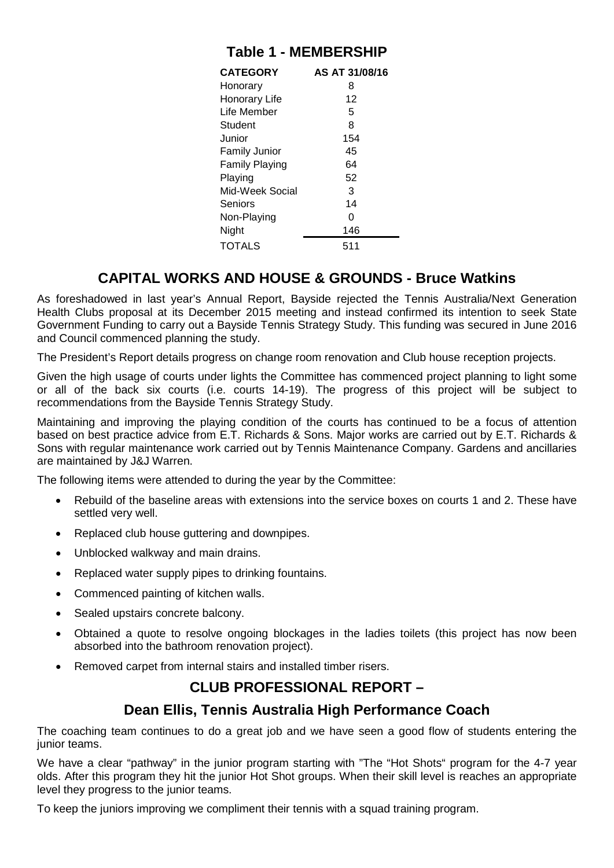| <b>Table 1 - MEMBERSHIP</b> |  |  |  |  |
|-----------------------------|--|--|--|--|
|-----------------------------|--|--|--|--|

| <b>CATEGORY</b>      | AS AT 31/08/16 |  |
|----------------------|----------------|--|
| Honorary             | 8              |  |
| Honorary Life        | 12             |  |
| Life Member          | 5              |  |
| Student              | 8              |  |
| Junior               | 154            |  |
| <b>Family Junior</b> | 45             |  |
| Family Playing       | 64             |  |
| Playing              | 52             |  |
| Mid-Week Social      | 3              |  |
| Seniors              | 14             |  |
| Non-Playing          | O              |  |
| Night                | 146            |  |
| <b>TOTALS</b>        | 511            |  |

## **CAPITAL WORKS AND HOUSE & GROUNDS - Bruce Watkins**

As foreshadowed in last year's Annual Report, Bayside rejected the Tennis Australia/Next Generation Health Clubs proposal at its December 2015 meeting and instead confirmed its intention to seek State Government Funding to carry out a Bayside Tennis Strategy Study. This funding was secured in June 2016 and Council commenced planning the study.

The President's Report details progress on change room renovation and Club house reception projects.

Given the high usage of courts under lights the Committee has commenced project planning to light some or all of the back six courts (i.e. courts 14-19). The progress of this project will be subject to recommendations from the Bayside Tennis Strategy Study.

Maintaining and improving the playing condition of the courts has continued to be a focus of attention based on best practice advice from E.T. Richards & Sons. Major works are carried out by E.T. Richards & Sons with regular maintenance work carried out by Tennis Maintenance Company. Gardens and ancillaries are maintained by J&J Warren.

The following items were attended to during the year by the Committee:

- Rebuild of the baseline areas with extensions into the service boxes on courts 1 and 2. These have settled very well.
- Replaced club house guttering and downpipes.
- Unblocked walkway and main drains.
- Replaced water supply pipes to drinking fountains.
- Commenced painting of kitchen walls.
- Sealed upstairs concrete balcony.
- Obtained a quote to resolve ongoing blockages in the ladies toilets (this project has now been absorbed into the bathroom renovation project).
- Removed carpet from internal stairs and installed timber risers.

## **CLUB PROFESSIONAL REPORT –**

### **Dean Ellis, Tennis Australia High Performance Coach**

The coaching team continues to do a great job and we have seen a good flow of students entering the junior teams.

We have a clear "pathway" in the junior program starting with "The "Hot Shots" program for the 4-7 year olds. After this program they hit the junior Hot Shot groups. When their skill level is reaches an appropriate level they progress to the junior teams.

To keep the juniors improving we compliment their tennis with a squad training program.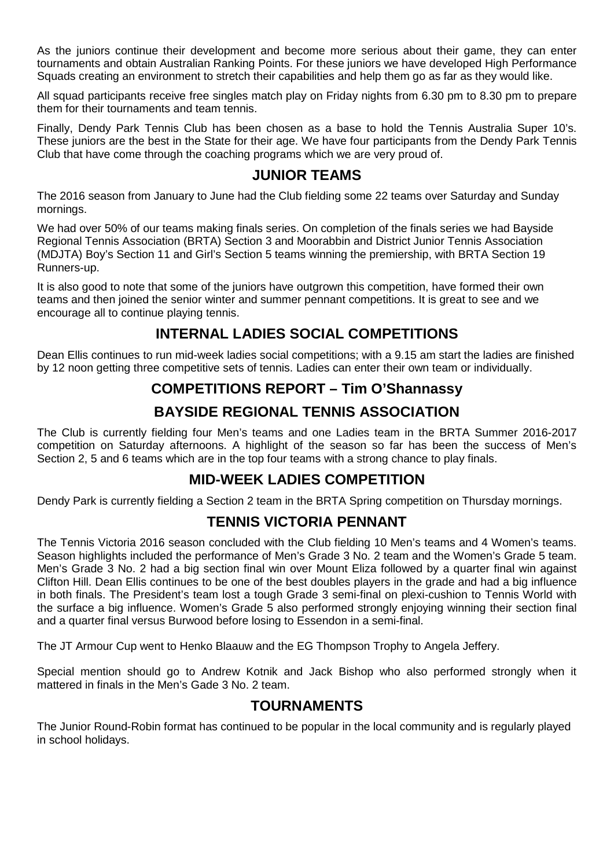As the juniors continue their development and become more serious about their game, they can enter tournaments and obtain Australian Ranking Points. For these juniors we have developed High Performance Squads creating an environment to stretch their capabilities and help them go as far as they would like.

All squad participants receive free singles match play on Friday nights from 6.30 pm to 8.30 pm to prepare them for their tournaments and team tennis.

Finally, Dendy Park Tennis Club has been chosen as a base to hold the Tennis Australia Super 10's. These juniors are the best in the State for their age. We have four participants from the Dendy Park Tennis Club that have come through the coaching programs which we are very proud of.

#### **JUNIOR TEAMS**

The 2016 season from January to June had the Club fielding some 22 teams over Saturday and Sunday mornings.

We had over 50% of our teams making finals series. On completion of the finals series we had Bayside Regional Tennis Association (BRTA) Section 3 and Moorabbin and District Junior Tennis Association (MDJTA) Boy's Section 11 and Girl's Section 5 teams winning the premiership, with BRTA Section 19 Runners-up.

It is also good to note that some of the juniors have outgrown this competition, have formed their own teams and then joined the senior winter and summer pennant competitions. It is great to see and we encourage all to continue playing tennis.

## **INTERNAL LADIES SOCIAL COMPETITIONS**

Dean Ellis continues to run mid-week ladies social competitions; with a 9.15 am start the ladies are finished by 12 noon getting three competitive sets of tennis. Ladies can enter their own team or individually.

## **COMPETITIONS REPORT – Tim O'Shannassy BAYSIDE REGIONAL TENNIS ASSOCIATION**

The Club is currently fielding four Men's teams and one Ladies team in the BRTA Summer 2016-2017 competition on Saturday afternoons. A highlight of the season so far has been the success of Men's Section 2, 5 and 6 teams which are in the top four teams with a strong chance to play finals.

### **MID-WEEK LADIES COMPETITION**

Dendy Park is currently fielding a Section 2 team in the BRTA Spring competition on Thursday mornings.

### **TENNIS VICTORIA PENNANT**

The Tennis Victoria 2016 season concluded with the Club fielding 10 Men's teams and 4 Women's teams. Season highlights included the performance of Men's Grade 3 No. 2 team and the Women's Grade 5 team. Men's Grade 3 No. 2 had a big section final win over Mount Eliza followed by a quarter final win against Clifton Hill. Dean Ellis continues to be one of the best doubles players in the grade and had a big influence in both finals. The President's team lost a tough Grade 3 semi-final on plexi-cushion to Tennis World with the surface a big influence. Women's Grade 5 also performed strongly enjoying winning their section final and a quarter final versus Burwood before losing to Essendon in a semi-final.

The JT Armour Cup went to Henko Blaauw and the EG Thompson Trophy to Angela Jeffery.

Special mention should go to Andrew Kotnik and Jack Bishop who also performed strongly when it mattered in finals in the Men's Gade 3 No. 2 team.

### **TOURNAMENTS**

The Junior Round-Robin format has continued to be popular in the local community and is regularly played in school holidays.